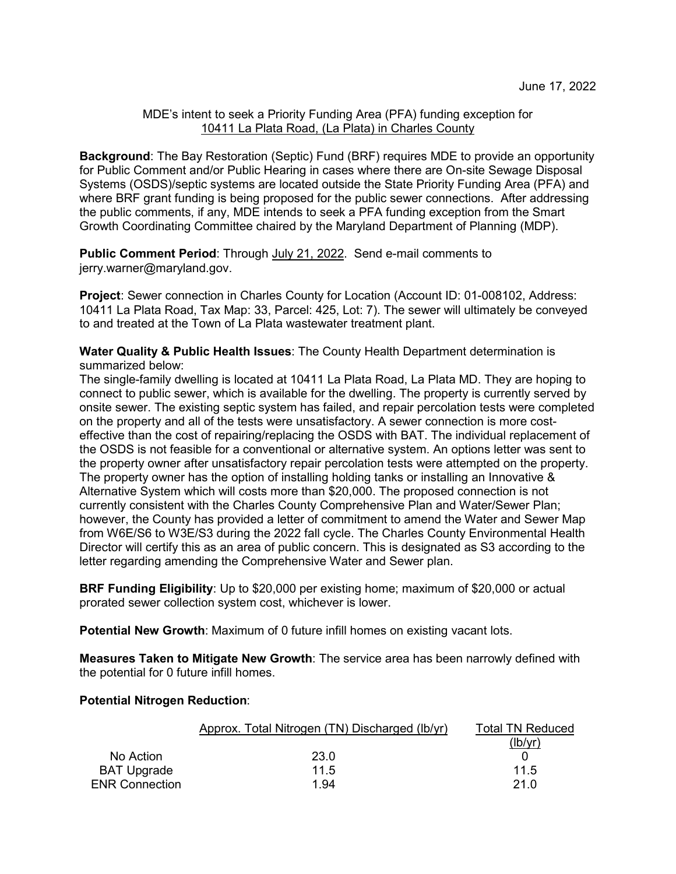## MDE's intent to seek a Priority Funding Area (PFA) funding exception for 10411 La Plata Road, (La Plata) in Charles County

**Background**: The Bay Restoration (Septic) Fund (BRF) requires MDE to provide an opportunity for Public Comment and/or Public Hearing in cases where there are On-site Sewage Disposal Systems (OSDS)/septic systems are located outside the State Priority Funding Area (PFA) and where BRF grant funding is being proposed for the public sewer connections. After addressing the public comments, if any, MDE intends to seek a PFA funding exception from the Smart Growth Coordinating Committee chaired by the Maryland Department of Planning (MDP).

**Public Comment Period:** Through July 21, 2022. Send e-mail comments to jerry.warner@maryland.gov.

**Project**: Sewer connection in Charles County for Location (Account ID: 01-008102, Address: 10411 La Plata Road, Tax Map: 33, Parcel: 425, Lot: 7). The sewer will ultimately be conveyed to and treated at the Town of La Plata wastewater treatment plant.

**Water Quality & Public Health Issues**: The County Health Department determination is summarized below:

The single-family dwelling is located at 10411 La Plata Road, La Plata MD. They are hoping to connect to public sewer, which is available for the dwelling. The property is currently served by onsite sewer. The existing septic system has failed, and repair percolation tests were completed on the property and all of the tests were unsatisfactory. A sewer connection is more costeffective than the cost of repairing/replacing the OSDS with BAT. The individual replacement of the OSDS is not feasible for a conventional or alternative system. An options letter was sent to the property owner after unsatisfactory repair percolation tests were attempted on the property. The property owner has the option of installing holding tanks or installing an Innovative & Alternative System which will costs more than \$20,000. The proposed connection is not currently consistent with the Charles County Comprehensive Plan and Water/Sewer Plan; however, the County has provided a letter of commitment to amend the Water and Sewer Map from W6E/S6 to W3E/S3 during the 2022 fall cycle. The Charles County Environmental Health Director will certify this as an area of public concern. This is designated as S3 according to the letter regarding amending the Comprehensive Water and Sewer plan.

**BRF Funding Eligibility**: Up to \$20,000 per existing home; maximum of \$20,000 or actual prorated sewer collection system cost, whichever is lower.

**Potential New Growth**: Maximum of 0 future infill homes on existing vacant lots.

**Measures Taken to Mitigate New Growth**: The service area has been narrowly defined with the potential for 0 future infill homes.

## **Potential Nitrogen Reduction**:

|                       | Approx. Total Nitrogen (TN) Discharged (Ib/yr) | Total TN Reduced |
|-----------------------|------------------------------------------------|------------------|
|                       |                                                | (lb/yr)          |
| No Action             | 23.0                                           |                  |
| <b>BAT Upgrade</b>    | 11.5                                           | 11.5             |
| <b>ENR Connection</b> | 1.94                                           | 21.0             |